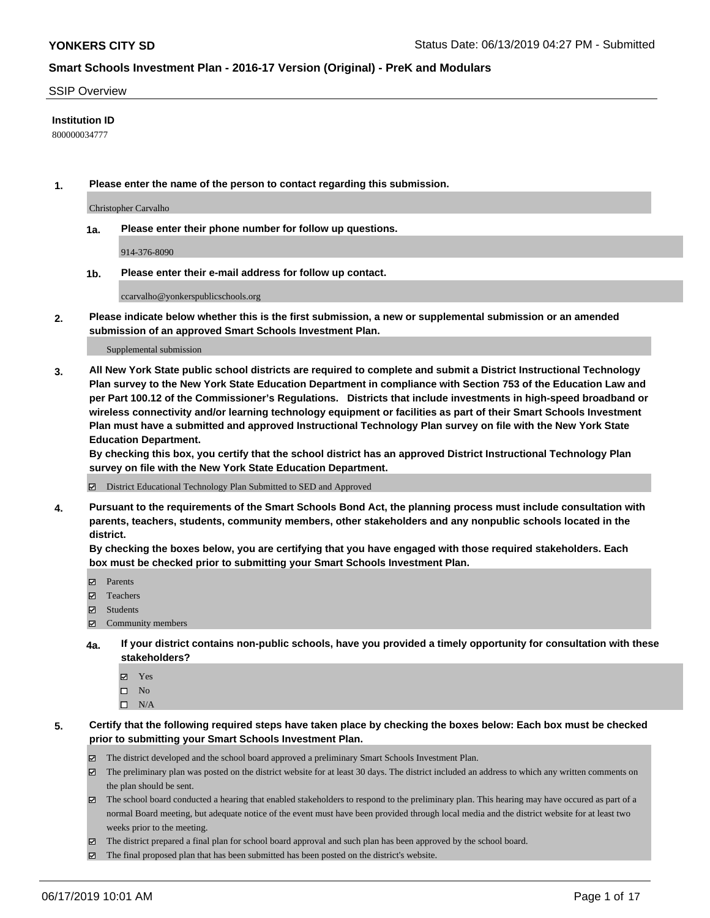### SSIP Overview

### **Institution ID**

800000034777

**1. Please enter the name of the person to contact regarding this submission.**

Christopher Carvalho

**1a. Please enter their phone number for follow up questions.**

914-376-8090

**1b. Please enter their e-mail address for follow up contact.**

ccarvalho@yonkerspublicschools.org

**2. Please indicate below whether this is the first submission, a new or supplemental submission or an amended submission of an approved Smart Schools Investment Plan.**

#### Supplemental submission

**3. All New York State public school districts are required to complete and submit a District Instructional Technology Plan survey to the New York State Education Department in compliance with Section 753 of the Education Law and per Part 100.12 of the Commissioner's Regulations. Districts that include investments in high-speed broadband or wireless connectivity and/or learning technology equipment or facilities as part of their Smart Schools Investment Plan must have a submitted and approved Instructional Technology Plan survey on file with the New York State Education Department.** 

**By checking this box, you certify that the school district has an approved District Instructional Technology Plan survey on file with the New York State Education Department.**

District Educational Technology Plan Submitted to SED and Approved

**4. Pursuant to the requirements of the Smart Schools Bond Act, the planning process must include consultation with parents, teachers, students, community members, other stakeholders and any nonpublic schools located in the district.** 

**By checking the boxes below, you are certifying that you have engaged with those required stakeholders. Each box must be checked prior to submitting your Smart Schools Investment Plan.**

- Parents
- Teachers
- Students
- Community members
- **4a. If your district contains non-public schools, have you provided a timely opportunity for consultation with these stakeholders?**
	- Yes
	- $\square$  No
	- $\square$  N/A
- **5. Certify that the following required steps have taken place by checking the boxes below: Each box must be checked prior to submitting your Smart Schools Investment Plan.**
	- The district developed and the school board approved a preliminary Smart Schools Investment Plan.
	- $\boxtimes$  The preliminary plan was posted on the district website for at least 30 days. The district included an address to which any written comments on the plan should be sent.
	- $\boxtimes$  The school board conducted a hearing that enabled stakeholders to respond to the preliminary plan. This hearing may have occured as part of a normal Board meeting, but adequate notice of the event must have been provided through local media and the district website for at least two weeks prior to the meeting.
	- The district prepared a final plan for school board approval and such plan has been approved by the school board.
	- $\boxtimes$  The final proposed plan that has been submitted has been posted on the district's website.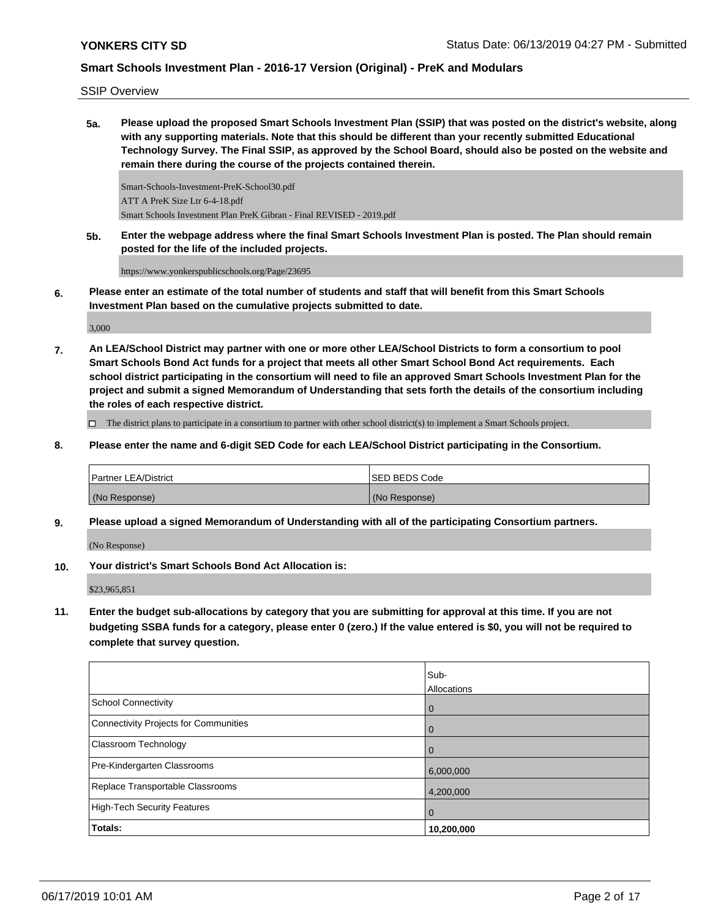SSIP Overview

**5a. Please upload the proposed Smart Schools Investment Plan (SSIP) that was posted on the district's website, along with any supporting materials. Note that this should be different than your recently submitted Educational Technology Survey. The Final SSIP, as approved by the School Board, should also be posted on the website and remain there during the course of the projects contained therein.**

Smart-Schools-Investment-PreK-School30.pdf ATT A PreK Size Ltr 6-4-18.pdf Smart Schools Investment Plan PreK Gibran - Final REVISED - 2019.pdf

**5b. Enter the webpage address where the final Smart Schools Investment Plan is posted. The Plan should remain posted for the life of the included projects.**

https://www.yonkerspublicschools.org/Page/23695

**6. Please enter an estimate of the total number of students and staff that will benefit from this Smart Schools Investment Plan based on the cumulative projects submitted to date.**

3,000

**7. An LEA/School District may partner with one or more other LEA/School Districts to form a consortium to pool Smart Schools Bond Act funds for a project that meets all other Smart School Bond Act requirements. Each school district participating in the consortium will need to file an approved Smart Schools Investment Plan for the project and submit a signed Memorandum of Understanding that sets forth the details of the consortium including the roles of each respective district.**

 $\Box$  The district plans to participate in a consortium to partner with other school district(s) to implement a Smart Schools project.

**8. Please enter the name and 6-digit SED Code for each LEA/School District participating in the Consortium.**

| <b>Partner LEA/District</b> | <b>ISED BEDS Code</b> |
|-----------------------------|-----------------------|
| (No Response)               | (No Response)         |

**9. Please upload a signed Memorandum of Understanding with all of the participating Consortium partners.**

(No Response)

**10. Your district's Smart Schools Bond Act Allocation is:**

\$23,965,851

**11. Enter the budget sub-allocations by category that you are submitting for approval at this time. If you are not budgeting SSBA funds for a category, please enter 0 (zero.) If the value entered is \$0, you will not be required to complete that survey question.**

|                                       | Sub-<br>Allocations |
|---------------------------------------|---------------------|
| School Connectivity                   | $\mathbf 0$         |
| Connectivity Projects for Communities | $\overline{0}$      |
| <b>Classroom Technology</b>           | $\overline{0}$      |
| Pre-Kindergarten Classrooms           | 6,000,000           |
| Replace Transportable Classrooms      | 4,200,000           |
| High-Tech Security Features           | $\overline{0}$      |
| Totals:                               | 10,200,000          |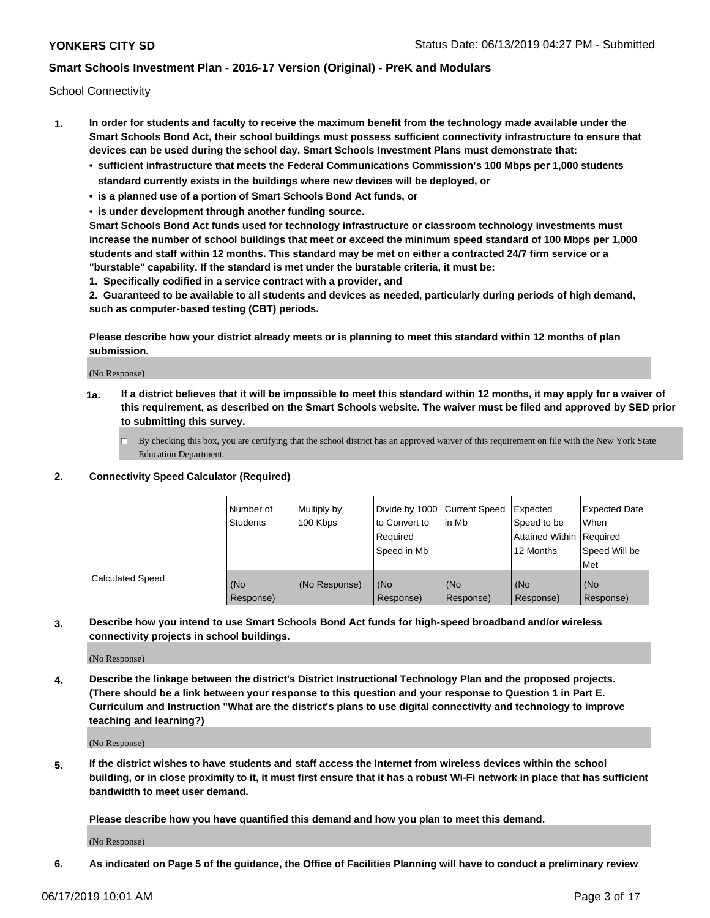School Connectivity

- **1. In order for students and faculty to receive the maximum benefit from the technology made available under the Smart Schools Bond Act, their school buildings must possess sufficient connectivity infrastructure to ensure that devices can be used during the school day. Smart Schools Investment Plans must demonstrate that:**
	- **• sufficient infrastructure that meets the Federal Communications Commission's 100 Mbps per 1,000 students standard currently exists in the buildings where new devices will be deployed, or**
	- **• is a planned use of a portion of Smart Schools Bond Act funds, or**
	- **• is under development through another funding source.**

**Smart Schools Bond Act funds used for technology infrastructure or classroom technology investments must increase the number of school buildings that meet or exceed the minimum speed standard of 100 Mbps per 1,000 students and staff within 12 months. This standard may be met on either a contracted 24/7 firm service or a "burstable" capability. If the standard is met under the burstable criteria, it must be:**

**1. Specifically codified in a service contract with a provider, and**

**2. Guaranteed to be available to all students and devices as needed, particularly during periods of high demand, such as computer-based testing (CBT) periods.**

**Please describe how your district already meets or is planning to meet this standard within 12 months of plan submission.**

(No Response)

**1a. If a district believes that it will be impossible to meet this standard within 12 months, it may apply for a waiver of this requirement, as described on the Smart Schools website. The waiver must be filed and approved by SED prior to submitting this survey.**

 $\Box$  By checking this box, you are certifying that the school district has an approved waiver of this requirement on file with the New York State Education Department.

### **2. Connectivity Speed Calculator (Required)**

|                         | Number of<br>Students | Multiply by<br>100 Kbps | Divide by 1000 Current Speed<br>to Convert to<br>Required<br>Speed in Mb | lin Mb             | Expected<br>Speed to be<br>Attained Within   Required<br>12 Months | <b>Expected Date</b><br><b>When</b><br>Speed Will be<br>Met |
|-------------------------|-----------------------|-------------------------|--------------------------------------------------------------------------|--------------------|--------------------------------------------------------------------|-------------------------------------------------------------|
| <b>Calculated Speed</b> | (No<br>Response)      | (No Response)           | l (No<br>Response)                                                       | l (No<br>Response) | (No<br>Response)                                                   | (No<br>Response)                                            |

**3. Describe how you intend to use Smart Schools Bond Act funds for high-speed broadband and/or wireless connectivity projects in school buildings.**

(No Response)

**4. Describe the linkage between the district's District Instructional Technology Plan and the proposed projects. (There should be a link between your response to this question and your response to Question 1 in Part E. Curriculum and Instruction "What are the district's plans to use digital connectivity and technology to improve teaching and learning?)**

(No Response)

**5. If the district wishes to have students and staff access the Internet from wireless devices within the school building, or in close proximity to it, it must first ensure that it has a robust Wi-Fi network in place that has sufficient bandwidth to meet user demand.**

**Please describe how you have quantified this demand and how you plan to meet this demand.**

(No Response)

**6. As indicated on Page 5 of the guidance, the Office of Facilities Planning will have to conduct a preliminary review**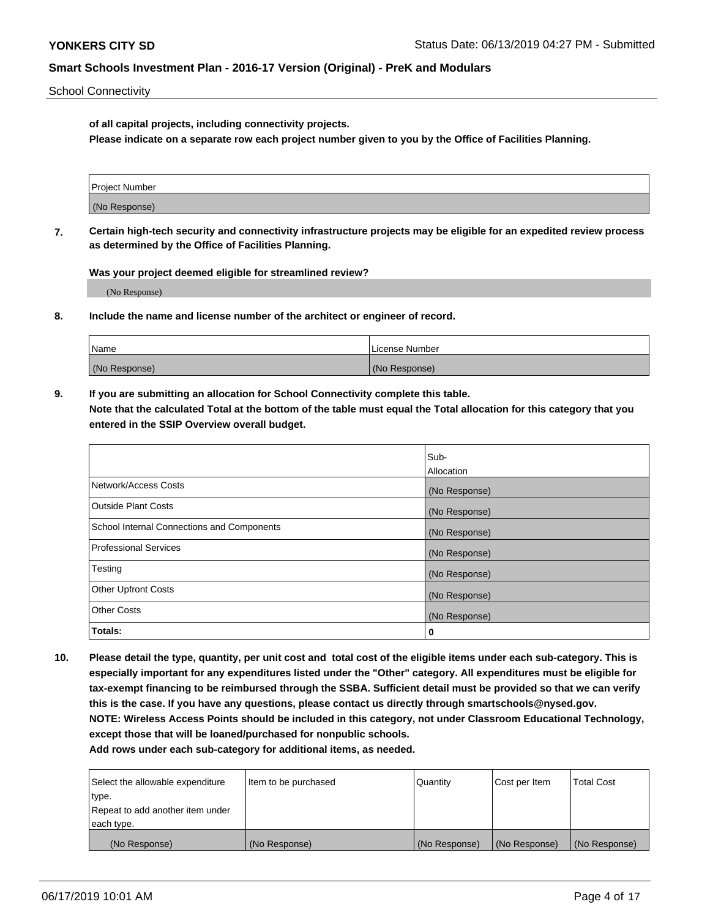School Connectivity

**of all capital projects, including connectivity projects.**

**Please indicate on a separate row each project number given to you by the Office of Facilities Planning.**

| Project Number |  |
|----------------|--|
|                |  |
| (No Response)  |  |
|                |  |

**7. Certain high-tech security and connectivity infrastructure projects may be eligible for an expedited review process as determined by the Office of Facilities Planning.**

**Was your project deemed eligible for streamlined review?**

(No Response)

**8. Include the name and license number of the architect or engineer of record.**

| Name          | License Number |
|---------------|----------------|
| (No Response) | (No Response)  |

**9. If you are submitting an allocation for School Connectivity complete this table. Note that the calculated Total at the bottom of the table must equal the Total allocation for this category that you entered in the SSIP Overview overall budget.** 

|                                            | Sub-          |
|--------------------------------------------|---------------|
|                                            | Allocation    |
| Network/Access Costs                       | (No Response) |
| <b>Outside Plant Costs</b>                 | (No Response) |
| School Internal Connections and Components | (No Response) |
| <b>Professional Services</b>               | (No Response) |
| Testing                                    | (No Response) |
| <b>Other Upfront Costs</b>                 | (No Response) |
| <b>Other Costs</b>                         | (No Response) |
| Totals:                                    | 0             |

**10. Please detail the type, quantity, per unit cost and total cost of the eligible items under each sub-category. This is especially important for any expenditures listed under the "Other" category. All expenditures must be eligible for tax-exempt financing to be reimbursed through the SSBA. Sufficient detail must be provided so that we can verify this is the case. If you have any questions, please contact us directly through smartschools@nysed.gov. NOTE: Wireless Access Points should be included in this category, not under Classroom Educational Technology, except those that will be loaned/purchased for nonpublic schools.**

| Select the allowable expenditure | Item to be purchased | Quantity      | Cost per Item | <b>Total Cost</b> |
|----------------------------------|----------------------|---------------|---------------|-------------------|
| type.                            |                      |               |               |                   |
| Repeat to add another item under |                      |               |               |                   |
| each type.                       |                      |               |               |                   |
| (No Response)                    | (No Response)        | (No Response) | (No Response) | (No Response)     |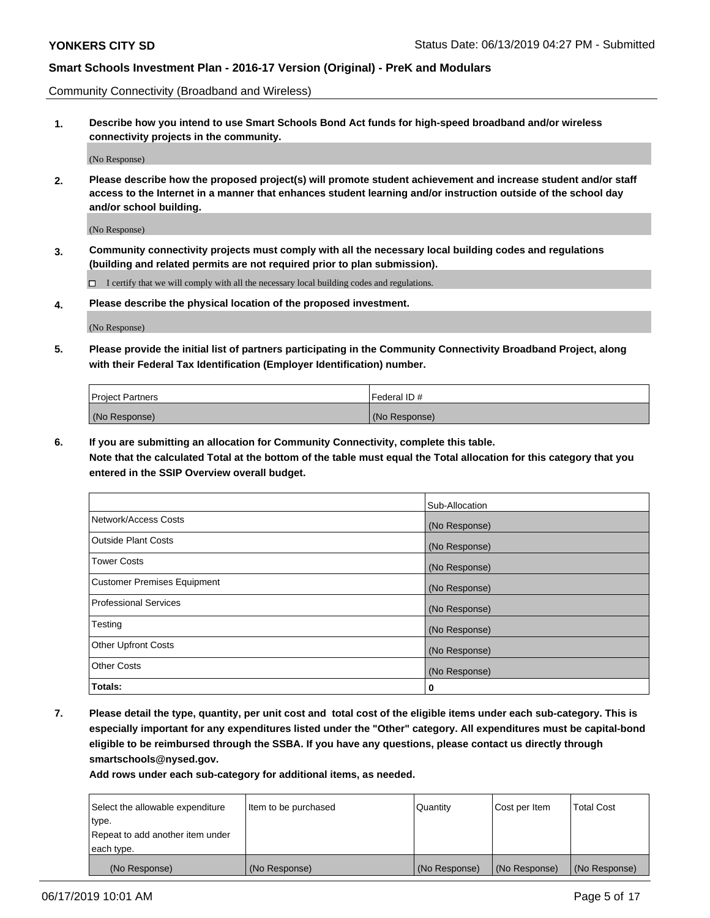Community Connectivity (Broadband and Wireless)

**1. Describe how you intend to use Smart Schools Bond Act funds for high-speed broadband and/or wireless connectivity projects in the community.**

(No Response)

**2. Please describe how the proposed project(s) will promote student achievement and increase student and/or staff access to the Internet in a manner that enhances student learning and/or instruction outside of the school day and/or school building.**

(No Response)

**3. Community connectivity projects must comply with all the necessary local building codes and regulations (building and related permits are not required prior to plan submission).**

 $\Box$  I certify that we will comply with all the necessary local building codes and regulations.

**4. Please describe the physical location of the proposed investment.**

(No Response)

**5. Please provide the initial list of partners participating in the Community Connectivity Broadband Project, along with their Federal Tax Identification (Employer Identification) number.**

| <b>Project Partners</b> | l Federal ID # |
|-------------------------|----------------|
| (No Response)           | (No Response)  |

**6. If you are submitting an allocation for Community Connectivity, complete this table.**

**Note that the calculated Total at the bottom of the table must equal the Total allocation for this category that you entered in the SSIP Overview overall budget.**

|                                    | Sub-Allocation |
|------------------------------------|----------------|
| Network/Access Costs               | (No Response)  |
| <b>Outside Plant Costs</b>         | (No Response)  |
| <b>Tower Costs</b>                 | (No Response)  |
| <b>Customer Premises Equipment</b> | (No Response)  |
| <b>Professional Services</b>       | (No Response)  |
| Testing                            | (No Response)  |
| <b>Other Upfront Costs</b>         | (No Response)  |
| <b>Other Costs</b>                 | (No Response)  |
| Totals:                            | 0              |

**7. Please detail the type, quantity, per unit cost and total cost of the eligible items under each sub-category. This is especially important for any expenditures listed under the "Other" category. All expenditures must be capital-bond eligible to be reimbursed through the SSBA. If you have any questions, please contact us directly through smartschools@nysed.gov.**

| Select the allowable expenditure | Item to be purchased | Quantity      | Cost per Item | <b>Total Cost</b> |
|----------------------------------|----------------------|---------------|---------------|-------------------|
| type.                            |                      |               |               |                   |
| Repeat to add another item under |                      |               |               |                   |
| each type.                       |                      |               |               |                   |
| (No Response)                    | (No Response)        | (No Response) | (No Response) | (No Response)     |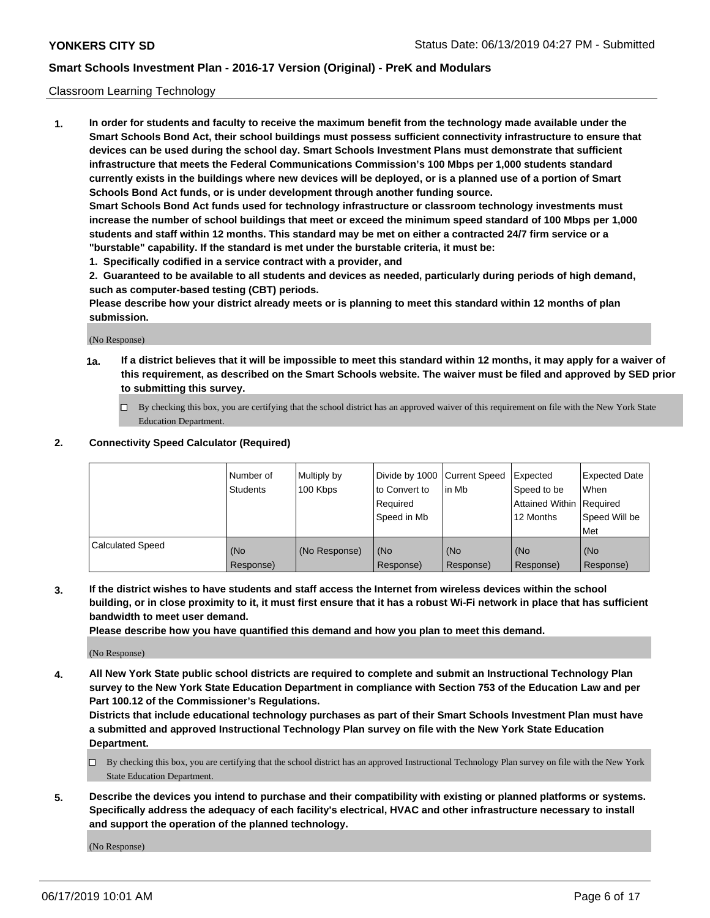### Classroom Learning Technology

**1. In order for students and faculty to receive the maximum benefit from the technology made available under the Smart Schools Bond Act, their school buildings must possess sufficient connectivity infrastructure to ensure that devices can be used during the school day. Smart Schools Investment Plans must demonstrate that sufficient infrastructure that meets the Federal Communications Commission's 100 Mbps per 1,000 students standard currently exists in the buildings where new devices will be deployed, or is a planned use of a portion of Smart Schools Bond Act funds, or is under development through another funding source. Smart Schools Bond Act funds used for technology infrastructure or classroom technology investments must increase the number of school buildings that meet or exceed the minimum speed standard of 100 Mbps per 1,000 students and staff within 12 months. This standard may be met on either a contracted 24/7 firm service or a**

**"burstable" capability. If the standard is met under the burstable criteria, it must be:**

**1. Specifically codified in a service contract with a provider, and**

**2. Guaranteed to be available to all students and devices as needed, particularly during periods of high demand, such as computer-based testing (CBT) periods.**

**Please describe how your district already meets or is planning to meet this standard within 12 months of plan submission.**

(No Response)

- **1a. If a district believes that it will be impossible to meet this standard within 12 months, it may apply for a waiver of this requirement, as described on the Smart Schools website. The waiver must be filed and approved by SED prior to submitting this survey.**
	- By checking this box, you are certifying that the school district has an approved waiver of this requirement on file with the New York State Education Department.

### **2. Connectivity Speed Calculator (Required)**

|                         | l Number of<br>Students | Multiply by<br>100 Kbps | to Convert to<br>Required<br>Speed in Mb | Divide by 1000 Current Speed Expected<br>lin Mb | Speed to be<br>Attained Within Required<br>12 Months | Expected Date<br>When<br>Speed Will be<br>Met |
|-------------------------|-------------------------|-------------------------|------------------------------------------|-------------------------------------------------|------------------------------------------------------|-----------------------------------------------|
| <b>Calculated Speed</b> | (No<br>Response)        | (No Response)           | (No<br>Response)                         | (No<br>Response)                                | (No<br>Response)                                     | (No<br>Response)                              |

**3. If the district wishes to have students and staff access the Internet from wireless devices within the school building, or in close proximity to it, it must first ensure that it has a robust Wi-Fi network in place that has sufficient bandwidth to meet user demand.**

**Please describe how you have quantified this demand and how you plan to meet this demand.**

(No Response)

**4. All New York State public school districts are required to complete and submit an Instructional Technology Plan survey to the New York State Education Department in compliance with Section 753 of the Education Law and per Part 100.12 of the Commissioner's Regulations.**

**Districts that include educational technology purchases as part of their Smart Schools Investment Plan must have a submitted and approved Instructional Technology Plan survey on file with the New York State Education Department.**

- $\Box$  By checking this box, you are certifying that the school district has an approved Instructional Technology Plan survey on file with the New York State Education Department.
- **5. Describe the devices you intend to purchase and their compatibility with existing or planned platforms or systems. Specifically address the adequacy of each facility's electrical, HVAC and other infrastructure necessary to install and support the operation of the planned technology.**

(No Response)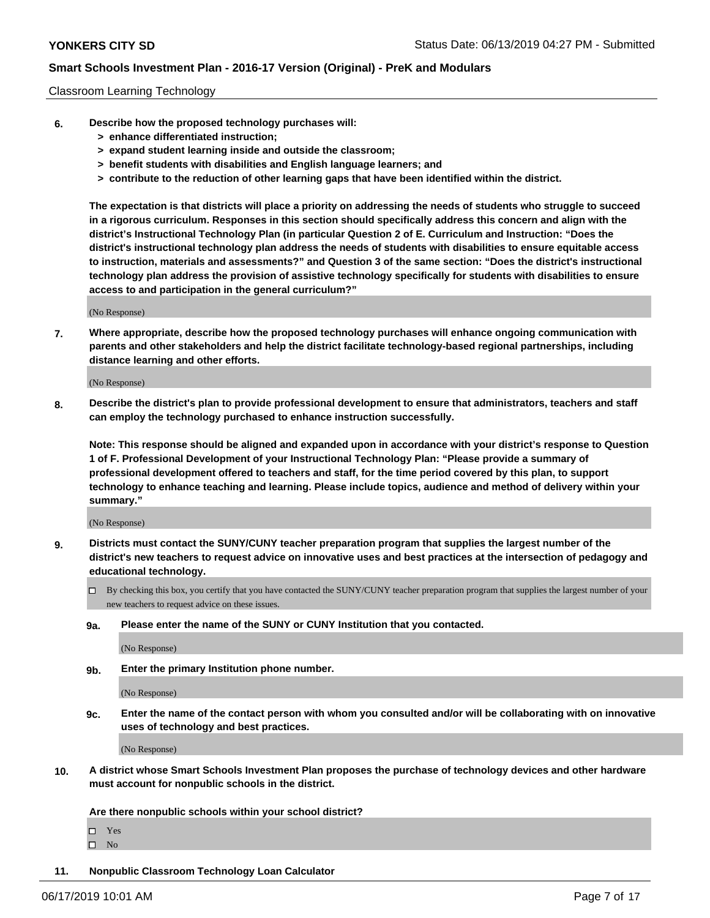### Classroom Learning Technology

- **6. Describe how the proposed technology purchases will:**
	- **> enhance differentiated instruction;**
	- **> expand student learning inside and outside the classroom;**
	- **> benefit students with disabilities and English language learners; and**
	- **> contribute to the reduction of other learning gaps that have been identified within the district.**

**The expectation is that districts will place a priority on addressing the needs of students who struggle to succeed in a rigorous curriculum. Responses in this section should specifically address this concern and align with the district's Instructional Technology Plan (in particular Question 2 of E. Curriculum and Instruction: "Does the district's instructional technology plan address the needs of students with disabilities to ensure equitable access to instruction, materials and assessments?" and Question 3 of the same section: "Does the district's instructional technology plan address the provision of assistive technology specifically for students with disabilities to ensure access to and participation in the general curriculum?"**

(No Response)

**7. Where appropriate, describe how the proposed technology purchases will enhance ongoing communication with parents and other stakeholders and help the district facilitate technology-based regional partnerships, including distance learning and other efforts.**

(No Response)

**8. Describe the district's plan to provide professional development to ensure that administrators, teachers and staff can employ the technology purchased to enhance instruction successfully.**

**Note: This response should be aligned and expanded upon in accordance with your district's response to Question 1 of F. Professional Development of your Instructional Technology Plan: "Please provide a summary of professional development offered to teachers and staff, for the time period covered by this plan, to support technology to enhance teaching and learning. Please include topics, audience and method of delivery within your summary."**

(No Response)

- **9. Districts must contact the SUNY/CUNY teacher preparation program that supplies the largest number of the district's new teachers to request advice on innovative uses and best practices at the intersection of pedagogy and educational technology.**
	- By checking this box, you certify that you have contacted the SUNY/CUNY teacher preparation program that supplies the largest number of your new teachers to request advice on these issues.
	- **9a. Please enter the name of the SUNY or CUNY Institution that you contacted.**

(No Response)

**9b. Enter the primary Institution phone number.**

(No Response)

**9c. Enter the name of the contact person with whom you consulted and/or will be collaborating with on innovative uses of technology and best practices.**

(No Response)

**10. A district whose Smart Schools Investment Plan proposes the purchase of technology devices and other hardware must account for nonpublic schools in the district.**

**Are there nonpublic schools within your school district?**

Yes

 $\square$  No

**11. Nonpublic Classroom Technology Loan Calculator**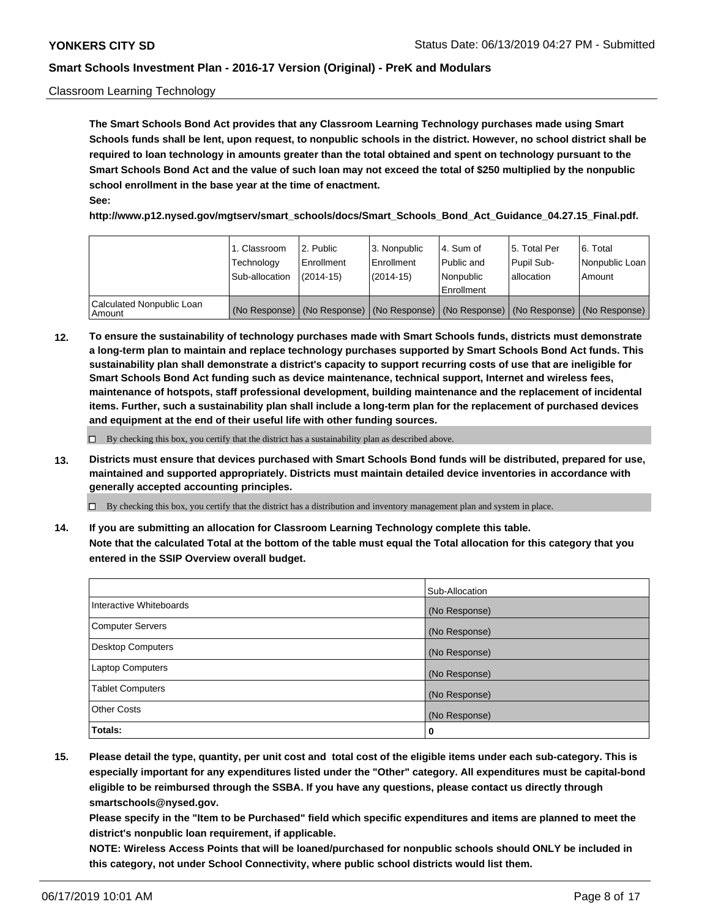### Classroom Learning Technology

**The Smart Schools Bond Act provides that any Classroom Learning Technology purchases made using Smart Schools funds shall be lent, upon request, to nonpublic schools in the district. However, no school district shall be required to loan technology in amounts greater than the total obtained and spent on technology pursuant to the Smart Schools Bond Act and the value of such loan may not exceed the total of \$250 multiplied by the nonpublic school enrollment in the base year at the time of enactment. See:**

**http://www.p12.nysed.gov/mgtserv/smart\_schools/docs/Smart\_Schools\_Bond\_Act\_Guidance\_04.27.15\_Final.pdf.**

|                                       | 1. Classroom<br>Technology<br>Sub-allocation | 2. Public<br>l Enrollment<br>(2014-15) | l 3. Nonpublic<br>l Enrollment<br>$(2014 - 15)$ | l 4. Sum of<br>l Public and<br>l Nonpublic<br>Enrollment                                      | 15. Total Per<br>Pupil Sub-<br>l allocation | l 6. Total<br>Nonpublic Loan<br>Amount |
|---------------------------------------|----------------------------------------------|----------------------------------------|-------------------------------------------------|-----------------------------------------------------------------------------------------------|---------------------------------------------|----------------------------------------|
| Calculated Nonpublic Loan<br>l Amount |                                              |                                        |                                                 | (No Response)   (No Response)   (No Response)   (No Response)   (No Response)   (No Response) |                                             |                                        |

**12. To ensure the sustainability of technology purchases made with Smart Schools funds, districts must demonstrate a long-term plan to maintain and replace technology purchases supported by Smart Schools Bond Act funds. This sustainability plan shall demonstrate a district's capacity to support recurring costs of use that are ineligible for Smart Schools Bond Act funding such as device maintenance, technical support, Internet and wireless fees, maintenance of hotspots, staff professional development, building maintenance and the replacement of incidental items. Further, such a sustainability plan shall include a long-term plan for the replacement of purchased devices and equipment at the end of their useful life with other funding sources.**

 $\Box$  By checking this box, you certify that the district has a sustainability plan as described above.

**13. Districts must ensure that devices purchased with Smart Schools Bond funds will be distributed, prepared for use, maintained and supported appropriately. Districts must maintain detailed device inventories in accordance with generally accepted accounting principles.**

By checking this box, you certify that the district has a distribution and inventory management plan and system in place.

**14. If you are submitting an allocation for Classroom Learning Technology complete this table. Note that the calculated Total at the bottom of the table must equal the Total allocation for this category that you entered in the SSIP Overview overall budget.**

|                         | Sub-Allocation |
|-------------------------|----------------|
| Interactive Whiteboards | (No Response)  |
| Computer Servers        | (No Response)  |
| Desktop Computers       | (No Response)  |
| Laptop Computers        | (No Response)  |
| <b>Tablet Computers</b> | (No Response)  |
| <b>Other Costs</b>      | (No Response)  |
| Totals:                 | 0              |

**15. Please detail the type, quantity, per unit cost and total cost of the eligible items under each sub-category. This is especially important for any expenditures listed under the "Other" category. All expenditures must be capital-bond eligible to be reimbursed through the SSBA. If you have any questions, please contact us directly through smartschools@nysed.gov.**

**Please specify in the "Item to be Purchased" field which specific expenditures and items are planned to meet the district's nonpublic loan requirement, if applicable.**

**NOTE: Wireless Access Points that will be loaned/purchased for nonpublic schools should ONLY be included in this category, not under School Connectivity, where public school districts would list them.**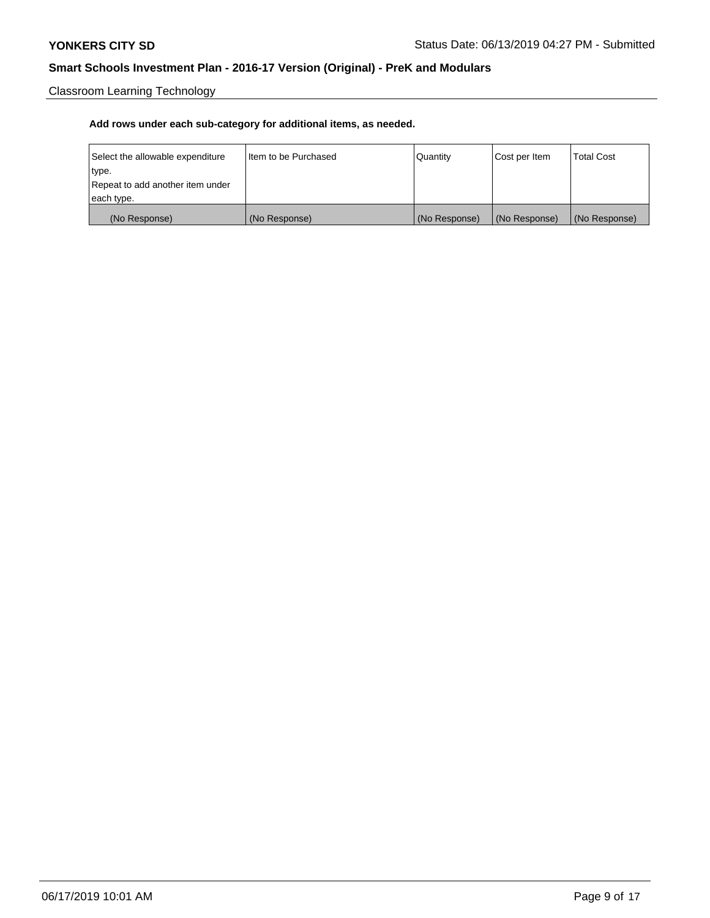Classroom Learning Technology

| Select the allowable expenditure | Iltem to be Purchased | Quantity      | Cost per Item | <b>Total Cost</b> |
|----------------------------------|-----------------------|---------------|---------------|-------------------|
| type.                            |                       |               |               |                   |
| Repeat to add another item under |                       |               |               |                   |
| each type.                       |                       |               |               |                   |
| (No Response)                    | (No Response)         | (No Response) | (No Response) | (No Response)     |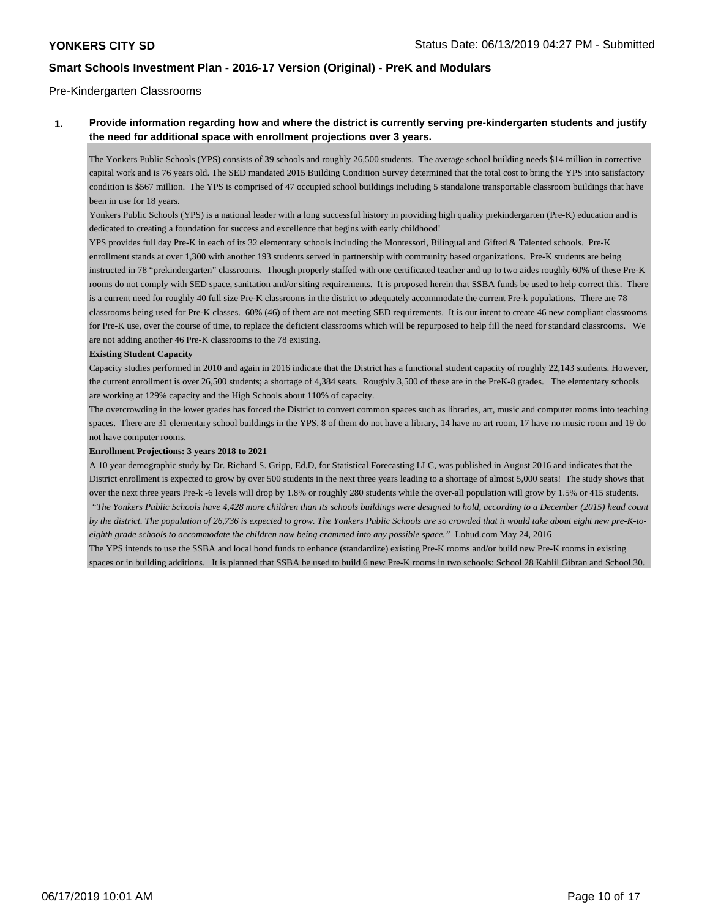### Pre-Kindergarten Classrooms

## **1. Provide information regarding how and where the district is currently serving pre-kindergarten students and justify the need for additional space with enrollment projections over 3 years.**

The Yonkers Public Schools (YPS) consists of 39 schools and roughly 26,500 students. The average school building needs \$14 million in corrective capital work and is 76 years old. The SED mandated 2015 Building Condition Survey determined that the total cost to bring the YPS into satisfactory condition is \$567 million. The YPS is comprised of 47 occupied school buildings including 5 standalone transportable classroom buildings that have been in use for 18 years.

Yonkers Public Schools (YPS) is a national leader with a long successful history in providing high quality prekindergarten (Pre-K) education and is dedicated to creating a foundation for success and excellence that begins with early childhood!

YPS provides full day Pre-K in each of its 32 elementary schools including the Montessori, Bilingual and Gifted & Talented schools. Pre-K enrollment stands at over 1,300 with another 193 students served in partnership with community based organizations. Pre-K students are being instructed in 78 "prekindergarten" classrooms. Though properly staffed with one certificated teacher and up to two aides roughly 60% of these Pre-K rooms do not comply with SED space, sanitation and/or siting requirements. It is proposed herein that SSBA funds be used to help correct this. There is a current need for roughly 40 full size Pre-K classrooms in the district to adequately accommodate the current Pre-k populations. There are 78 classrooms being used for Pre-K classes. 60% (46) of them are not meeting SED requirements. It is our intent to create 46 new compliant classrooms for Pre-K use, over the course of time, to replace the deficient classrooms which will be repurposed to help fill the need for standard classrooms. We are not adding another 46 Pre-K classrooms to the 78 existing.

### **Existing Student Capacity**

Capacity studies performed in 2010 and again in 2016 indicate that the District has a functional student capacity of roughly 22,143 students. However, the current enrollment is over 26,500 students; a shortage of 4,384 seats. Roughly 3,500 of these are in the PreK-8 grades. The elementary schools are working at 129% capacity and the High Schools about 110% of capacity.

The overcrowding in the lower grades has forced the District to convert common spaces such as libraries, art, music and computer rooms into teaching spaces. There are 31 elementary school buildings in the YPS, 8 of them do not have a library, 14 have no art room, 17 have no music room and 19 do not have computer rooms.

#### **Enrollment Projections: 3 years 2018 to 2021**

A 10 year demographic study by Dr. Richard S. Gripp, Ed.D, for Statistical Forecasting LLC, was published in August 2016 and indicates that the District enrollment is expected to grow by over 500 students in the next three years leading to a shortage of almost 5,000 seats! The study shows that over the next three years Pre-k -6 levels will drop by 1.8% or roughly 280 students while the over-all population will grow by 1.5% or 415 students.  *"The Yonkers Public Schools have 4,428 more children than its schools buildings were designed to hold, according to a December (2015) head count*

*by the district. The population of 26,736 is expected to grow. The Yonkers Public Schools are so crowded that it would take about eight new pre-K-toeighth grade schools to accommodate the children now being crammed into any possible space."* Lohud.com May 24, 2016

The YPS intends to use the SSBA and local bond funds to enhance (standardize) existing Pre-K rooms and/or build new Pre-K rooms in existing spaces or in building additions. It is planned that SSBA be used to build 6 new Pre-K rooms in two schools: School 28 Kahlil Gibran and School 30.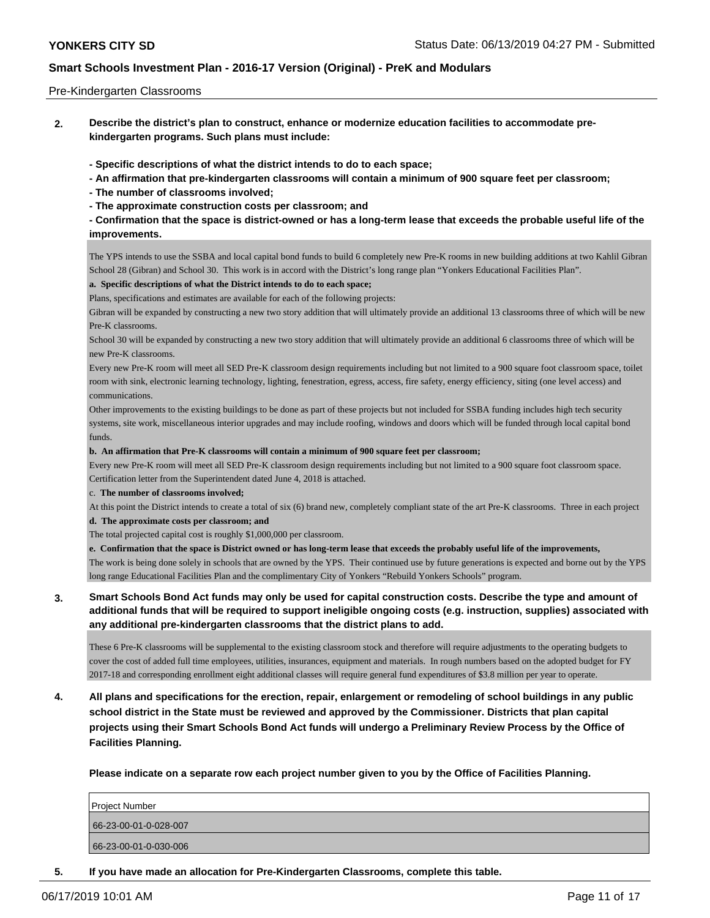### Pre-Kindergarten Classrooms

**2. Describe the district's plan to construct, enhance or modernize education facilities to accommodate prekindergarten programs. Such plans must include:**

**- Specific descriptions of what the district intends to do to each space;**

- **An affirmation that pre-kindergarten classrooms will contain a minimum of 900 square feet per classroom;**
- **The number of classrooms involved;**
- **The approximate construction costs per classroom; and**

**- Confirmation that the space is district-owned or has a long-term lease that exceeds the probable useful life of the improvements.**

The YPS intends to use the SSBA and local capital bond funds to build 6 completely new Pre-K rooms in new building additions at two Kahlil Gibran School 28 (Gibran) and School 30. This work is in accord with the District's long range plan "Yonkers Educational Facilities Plan".

### **a. Specific descriptions of what the District intends to do to each space;**

Plans, specifications and estimates are available for each of the following projects:

Gibran will be expanded by constructing a new two story addition that will ultimately provide an additional 13 classrooms three of which will be new Pre-K classrooms.

School 30 will be expanded by constructing a new two story addition that will ultimately provide an additional 6 classrooms three of which will be new Pre-K classrooms.

Every new Pre-K room will meet all SED Pre-K classroom design requirements including but not limited to a 900 square foot classroom space, toilet room with sink, electronic learning technology, lighting, fenestration, egress, access, fire safety, energy efficiency, siting (one level access) and communications.

Other improvements to the existing buildings to be done as part of these projects but not included for SSBA funding includes high tech security systems, site work, miscellaneous interior upgrades and may include roofing, windows and doors which will be funded through local capital bond funds.

#### **b. An affirmation that Pre-K classrooms will contain a minimum of 900 square feet per classroom;**

Every new Pre-K room will meet all SED Pre-K classroom design requirements including but not limited to a 900 square foot classroom space. Certification letter from the Superintendent dated June 4, 2018 is attached.

#### c. **The number of classrooms involved;**

At this point the District intends to create a total of six (6) brand new, completely compliant state of the art Pre-K classrooms. Three in each project

### **d. The approximate costs per classroom; and**

The total projected capital cost is roughly \$1,000,000 per classroom.

**e. Confirmation that the space is District owned or has long-term lease that exceeds the probably useful life of the improvements,**

The work is being done solely in schools that are owned by the YPS. Their continued use by future generations is expected and borne out by the YPS long range Educational Facilities Plan and the complimentary City of Yonkers "Rebuild Yonkers Schools" program.

**3. Smart Schools Bond Act funds may only be used for capital construction costs. Describe the type and amount of additional funds that will be required to support ineligible ongoing costs (e.g. instruction, supplies) associated with any additional pre-kindergarten classrooms that the district plans to add.**

These 6 Pre-K classrooms will be supplemental to the existing classroom stock and therefore will require adjustments to the operating budgets to cover the cost of added full time employees, utilities, insurances, equipment and materials. In rough numbers based on the adopted budget for FY 2017-18 and corresponding enrollment eight additional classes will require general fund expenditures of \$3.8 million per year to operate.

**4. All plans and specifications for the erection, repair, enlargement or remodeling of school buildings in any public school district in the State must be reviewed and approved by the Commissioner. Districts that plan capital projects using their Smart Schools Bond Act funds will undergo a Preliminary Review Process by the Office of Facilities Planning.**

**Please indicate on a separate row each project number given to you by the Office of Facilities Planning.**

| Project Number        |  |
|-----------------------|--|
| 66-23-00-01-0-028-007 |  |
| 66-23-00-01-0-030-006 |  |
|                       |  |

**5. If you have made an allocation for Pre-Kindergarten Classrooms, complete this table.**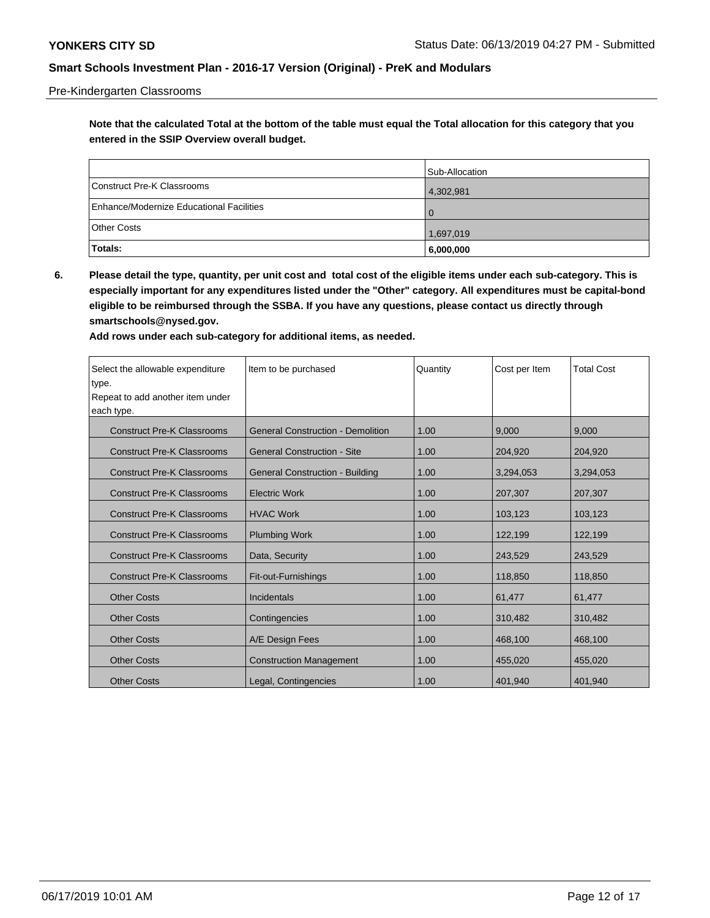### Pre-Kindergarten Classrooms

**Note that the calculated Total at the bottom of the table must equal the Total allocation for this category that you entered in the SSIP Overview overall budget.**

|                                          | Sub-Allocation |
|------------------------------------------|----------------|
| Construct Pre-K Classrooms               | 4,302,981      |
| Enhance/Modernize Educational Facilities | $\Omega$       |
| <b>Other Costs</b>                       | 1,697,019      |
| Totals:                                  | 6,000,000      |

**6. Please detail the type, quantity, per unit cost and total cost of the eligible items under each sub-category. This is especially important for any expenditures listed under the "Other" category. All expenditures must be capital-bond eligible to be reimbursed through the SSBA. If you have any questions, please contact us directly through smartschools@nysed.gov.**

| Select the allowable expenditure<br>type. | Item to be purchased                     | Quantity | Cost per Item | <b>Total Cost</b> |
|-------------------------------------------|------------------------------------------|----------|---------------|-------------------|
| Repeat to add another item under          |                                          |          |               |                   |
| each type.                                |                                          |          |               |                   |
| <b>Construct Pre-K Classrooms</b>         | <b>General Construction - Demolition</b> | 1.00     | 9.000         | 9.000             |
| <b>Construct Pre-K Classrooms</b>         | <b>General Construction - Site</b>       | 1.00     | 204,920       | 204,920           |
| <b>Construct Pre-K Classrooms</b>         | <b>General Construction - Building</b>   | 1.00     | 3,294,053     | 3,294,053         |
| <b>Construct Pre-K Classrooms</b>         | <b>Electric Work</b>                     | 1.00     | 207,307       | 207,307           |
| <b>Construct Pre-K Classrooms</b>         | <b>HVAC Work</b>                         | 1.00     | 103,123       | 103,123           |
| <b>Construct Pre-K Classrooms</b>         | <b>Plumbing Work</b>                     | 1.00     | 122,199       | 122,199           |
| <b>Construct Pre-K Classrooms</b>         | Data, Security                           | 1.00     | 243,529       | 243,529           |
| <b>Construct Pre-K Classrooms</b>         | Fit-out-Furnishings                      | 1.00     | 118,850       | 118,850           |
| <b>Other Costs</b>                        | Incidentals                              | 1.00     | 61,477        | 61,477            |
| <b>Other Costs</b>                        | Contingencies                            | 1.00     | 310,482       | 310,482           |
| <b>Other Costs</b>                        | A/E Design Fees                          | 1.00     | 468,100       | 468,100           |
| <b>Other Costs</b>                        | <b>Construction Management</b>           | 1.00     | 455,020       | 455,020           |
| <b>Other Costs</b>                        | Legal, Contingencies                     | 1.00     | 401,940       | 401,940           |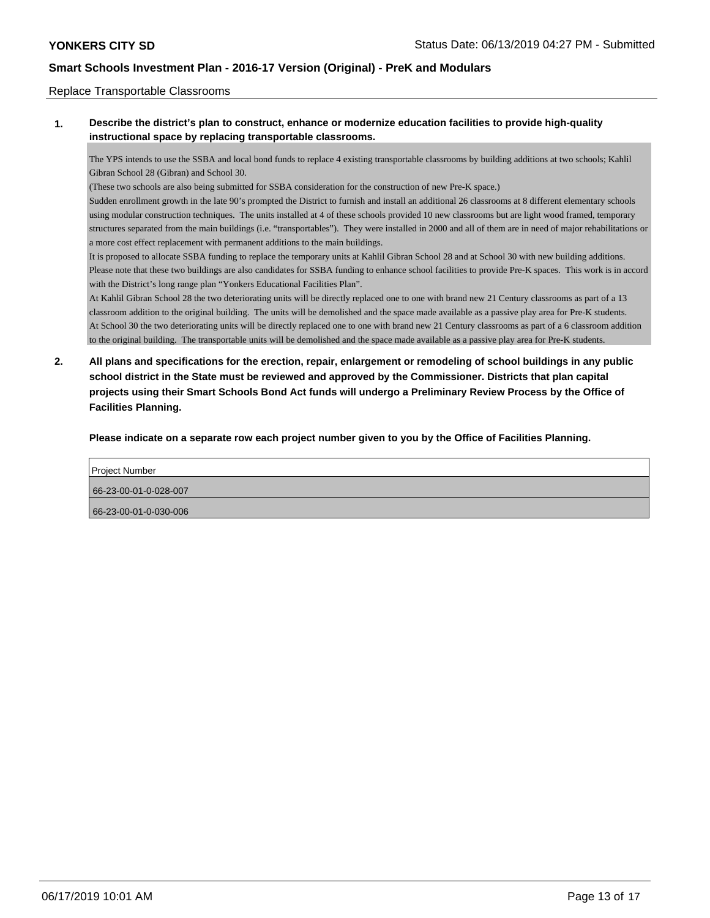### Replace Transportable Classrooms

## **1. Describe the district's plan to construct, enhance or modernize education facilities to provide high-quality instructional space by replacing transportable classrooms.**

The YPS intends to use the SSBA and local bond funds to replace 4 existing transportable classrooms by building additions at two schools; Kahlil Gibran School 28 (Gibran) and School 30.

(These two schools are also being submitted for SSBA consideration for the construction of new Pre-K space.)

Sudden enrollment growth in the late 90's prompted the District to furnish and install an additional 26 classrooms at 8 different elementary schools using modular construction techniques. The units installed at 4 of these schools provided 10 new classrooms but are light wood framed, temporary structures separated from the main buildings (i.e. "transportables"). They were installed in 2000 and all of them are in need of major rehabilitations or a more cost effect replacement with permanent additions to the main buildings.

It is proposed to allocate SSBA funding to replace the temporary units at Kahlil Gibran School 28 and at School 30 with new building additions. Please note that these two buildings are also candidates for SSBA funding to enhance school facilities to provide Pre-K spaces. This work is in accord with the District's long range plan "Yonkers Educational Facilities Plan".

At Kahlil Gibran School 28 the two deteriorating units will be directly replaced one to one with brand new 21 Century classrooms as part of a 13 classroom addition to the original building. The units will be demolished and the space made available as a passive play area for Pre-K students. At School 30 the two deteriorating units will be directly replaced one to one with brand new 21 Century classrooms as part of a 6 classroom addition to the original building. The transportable units will be demolished and the space made available as a passive play area for Pre-K students.

**2. All plans and specifications for the erection, repair, enlargement or remodeling of school buildings in any public school district in the State must be reviewed and approved by the Commissioner. Districts that plan capital projects using their Smart Schools Bond Act funds will undergo a Preliminary Review Process by the Office of Facilities Planning.**

**Please indicate on a separate row each project number given to you by the Office of Facilities Planning.**

| <b>Project Number</b> |  |
|-----------------------|--|
| 66-23-00-01-0-028-007 |  |
| 66-23-00-01-0-030-006 |  |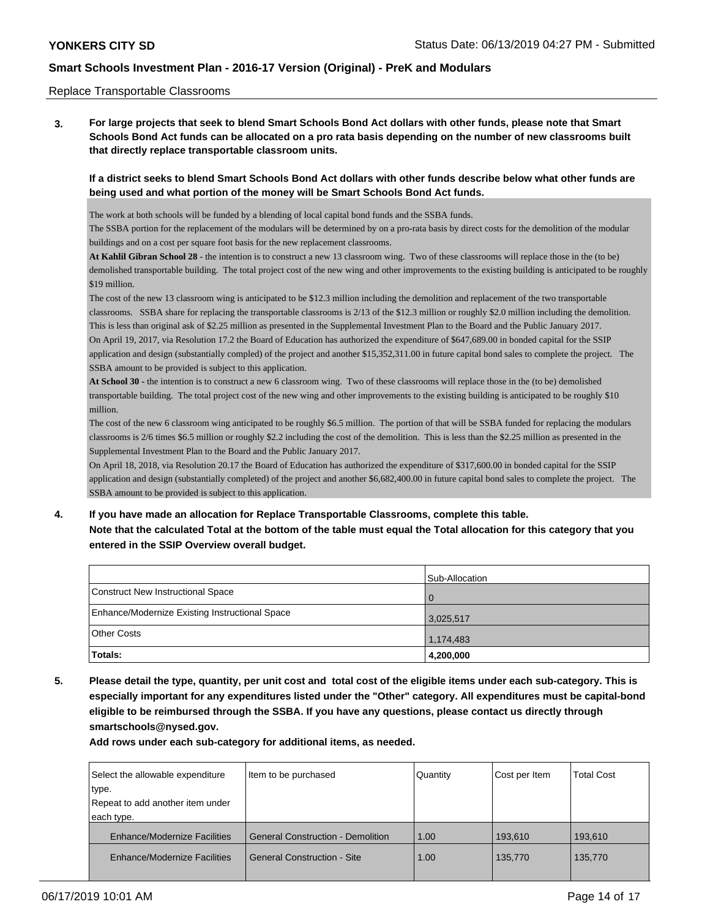### Replace Transportable Classrooms

**3. For large projects that seek to blend Smart Schools Bond Act dollars with other funds, please note that Smart Schools Bond Act funds can be allocated on a pro rata basis depending on the number of new classrooms built that directly replace transportable classroom units.**

## **If a district seeks to blend Smart Schools Bond Act dollars with other funds describe below what other funds are being used and what portion of the money will be Smart Schools Bond Act funds.**

The work at both schools will be funded by a blending of local capital bond funds and the SSBA funds.

The SSBA portion for the replacement of the modulars will be determined by on a pro-rata basis by direct costs for the demolition of the modular buildings and on a cost per square foot basis for the new replacement classrooms.

**At Kahlil Gibran School 28** - the intention is to construct a new 13 classroom wing. Two of these classrooms will replace those in the (to be) demolished transportable building. The total project cost of the new wing and other improvements to the existing building is anticipated to be roughly \$19 million.

The cost of the new 13 classroom wing is anticipated to be \$12.3 million including the demolition and replacement of the two transportable classrooms. SSBA share for replacing the transportable classrooms is 2/13 of the \$12.3 million or roughly \$2.0 million including the demolition. This is less than original ask of \$2.25 million as presented in the Supplemental Investment Plan to the Board and the Public January 2017. On April 19, 2017, via Resolution 17.2 the Board of Education has authorized the expenditure of \$647,689.00 in bonded capital for the SSIP application and design (substantially compled) of the project and another \$15,352,311.00 in future capital bond sales to complete the project. The SSBA amount to be provided is subject to this application.

**At School 30 -** the intention is to construct a new 6 classroom wing. Two of these classrooms will replace those in the (to be) demolished transportable building. The total project cost of the new wing and other improvements to the existing building is anticipated to be roughly \$10 million.

The cost of the new 6 classroom wing anticipated to be roughly \$6.5 million. The portion of that will be SSBA funded for replacing the modulars classrooms is 2/6 times \$6.5 million or roughly \$2.2 including the cost of the demolition. This is less than the \$2.25 million as presented in the Supplemental Investment Plan to the Board and the Public January 2017.

On April 18, 2018, via Resolution 20.17 the Board of Education has authorized the expenditure of \$317,600.00 in bonded capital for the SSIP application and design (substantially completed) of the project and another \$6,682,400.00 in future capital bond sales to complete the project. The SSBA amount to be provided is subject to this application.

# **4. If you have made an allocation for Replace Transportable Classrooms, complete this table. Note that the calculated Total at the bottom of the table must equal the Total allocation for this category that you entered in the SSIP Overview overall budget.**

|                                                | Sub-Allocation |
|------------------------------------------------|----------------|
| Construct New Instructional Space              |                |
| Enhance/Modernize Existing Instructional Space | 3,025,517      |
| <b>Other Costs</b>                             | 1,174,483      |
| Totals:                                        | 4,200,000      |

**5. Please detail the type, quantity, per unit cost and total cost of the eligible items under each sub-category. This is especially important for any expenditures listed under the "Other" category. All expenditures must be capital-bond eligible to be reimbursed through the SSBA. If you have any questions, please contact us directly through smartschools@nysed.gov.**

| Select the allowable expenditure    | Item to be purchased                     | Quantity | Cost per Item | <b>Total Cost</b> |
|-------------------------------------|------------------------------------------|----------|---------------|-------------------|
| type.                               |                                          |          |               |                   |
| Repeat to add another item under    |                                          |          |               |                   |
| each type.                          |                                          |          |               |                   |
| <b>Enhance/Modernize Facilities</b> | <b>General Construction - Demolition</b> | 1.00     | 193,610       | 193,610           |
| <b>Enhance/Modernize Facilities</b> | <b>General Construction - Site</b>       | 1.00     | 135,770       | 135,770           |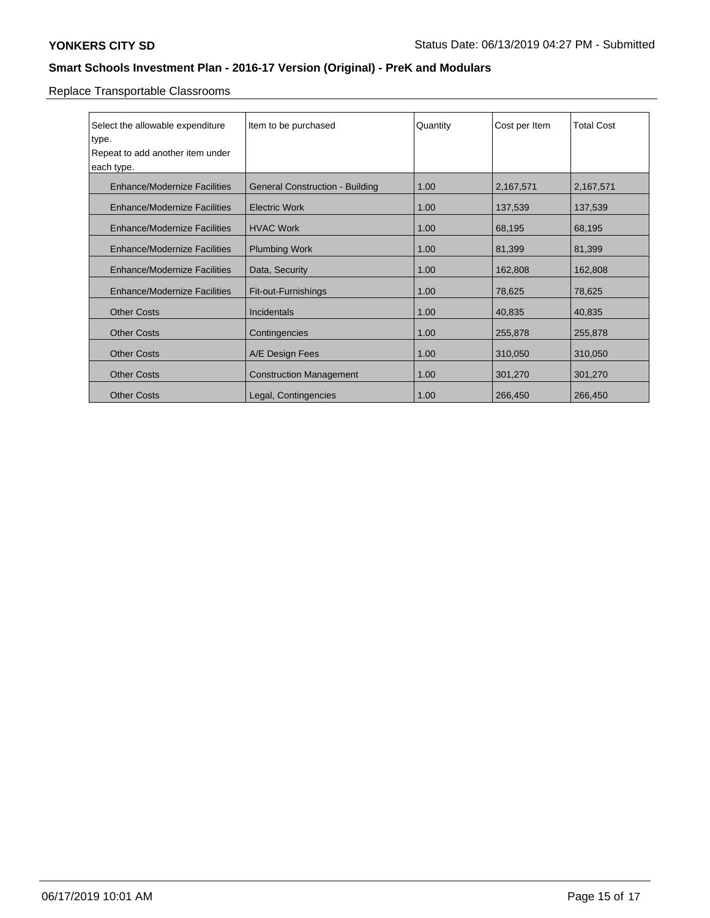Replace Transportable Classrooms

| Select the allowable expenditure    | Item to be purchased                   | Quantity | Cost per Item | <b>Total Cost</b> |
|-------------------------------------|----------------------------------------|----------|---------------|-------------------|
| type.                               |                                        |          |               |                   |
| Repeat to add another item under    |                                        |          |               |                   |
| each type.                          |                                        |          |               |                   |
|                                     |                                        |          |               |                   |
| <b>Enhance/Modernize Facilities</b> | <b>General Construction - Building</b> | 1.00     | 2,167,571     | 2,167,571         |
|                                     |                                        |          |               |                   |
| <b>Enhance/Modernize Facilities</b> | <b>Electric Work</b>                   | 1.00     | 137,539       | 137,539           |
| <b>Enhance/Modernize Facilities</b> | <b>HVAC Work</b>                       | 1.00     | 68,195        | 68,195            |
|                                     |                                        |          |               |                   |
| <b>Enhance/Modernize Facilities</b> | <b>Plumbing Work</b>                   | 1.00     | 81,399        | 81,399            |
| <b>Enhance/Modernize Facilities</b> |                                        | 1.00     |               |                   |
|                                     | Data, Security                         |          | 162,808       | 162,808           |
| <b>Enhance/Modernize Facilities</b> | Fit-out-Furnishings                    | 1.00     | 78,625        | 78,625            |
|                                     |                                        |          |               |                   |
| <b>Other Costs</b>                  | Incidentals                            | 1.00     | 40,835        | 40,835            |
|                                     |                                        |          |               |                   |
| <b>Other Costs</b>                  | Contingencies                          | 1.00     | 255,878       | 255,878           |
| <b>Other Costs</b>                  | A/E Design Fees                        | 1.00     | 310,050       | 310,050           |
|                                     |                                        |          |               |                   |
| <b>Other Costs</b>                  | <b>Construction Management</b>         | 1.00     | 301,270       | 301,270           |
|                                     |                                        |          |               |                   |
| <b>Other Costs</b>                  | Legal, Contingencies                   | 1.00     | 266,450       | 266,450           |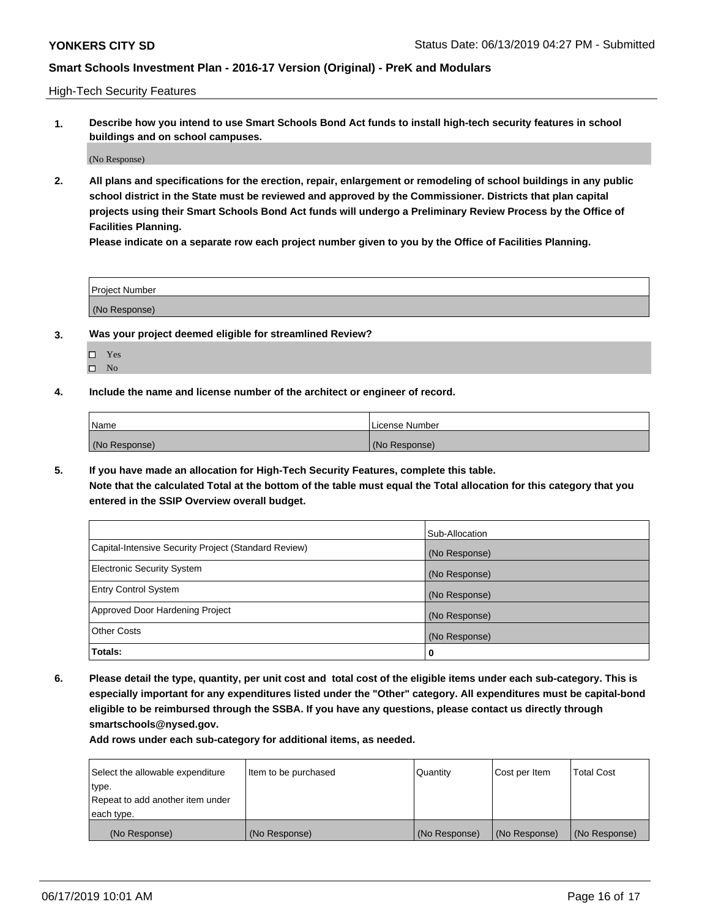High-Tech Security Features

**1. Describe how you intend to use Smart Schools Bond Act funds to install high-tech security features in school buildings and on school campuses.**

(No Response)

**2. All plans and specifications for the erection, repair, enlargement or remodeling of school buildings in any public school district in the State must be reviewed and approved by the Commissioner. Districts that plan capital projects using their Smart Schools Bond Act funds will undergo a Preliminary Review Process by the Office of Facilities Planning.** 

**Please indicate on a separate row each project number given to you by the Office of Facilities Planning.**

| <b>Project Number</b> |  |
|-----------------------|--|
| (No Response)         |  |

- **3. Was your project deemed eligible for streamlined Review?**
	- Yes
	- $\square$  No
- **4. Include the name and license number of the architect or engineer of record.**

| <b>Name</b>   | License Number |
|---------------|----------------|
| (No Response) | (No Response)  |

**5. If you have made an allocation for High-Tech Security Features, complete this table.**

**Note that the calculated Total at the bottom of the table must equal the Total allocation for this category that you entered in the SSIP Overview overall budget.**

|                                                      | Sub-Allocation |
|------------------------------------------------------|----------------|
| Capital-Intensive Security Project (Standard Review) | (No Response)  |
| <b>Electronic Security System</b>                    | (No Response)  |
| <b>Entry Control System</b>                          | (No Response)  |
| Approved Door Hardening Project                      | (No Response)  |
| <b>Other Costs</b>                                   | (No Response)  |
| Totals:                                              | 0              |

**6. Please detail the type, quantity, per unit cost and total cost of the eligible items under each sub-category. This is especially important for any expenditures listed under the "Other" category. All expenditures must be capital-bond eligible to be reimbursed through the SSBA. If you have any questions, please contact us directly through smartschools@nysed.gov.**

| Select the allowable expenditure | Item to be purchased | l Quantitv    | Cost per Item | <b>Total Cost</b> |
|----------------------------------|----------------------|---------------|---------------|-------------------|
| type.                            |                      |               |               |                   |
| Repeat to add another item under |                      |               |               |                   |
| each type.                       |                      |               |               |                   |
| (No Response)                    | (No Response)        | (No Response) | (No Response) | (No Response)     |